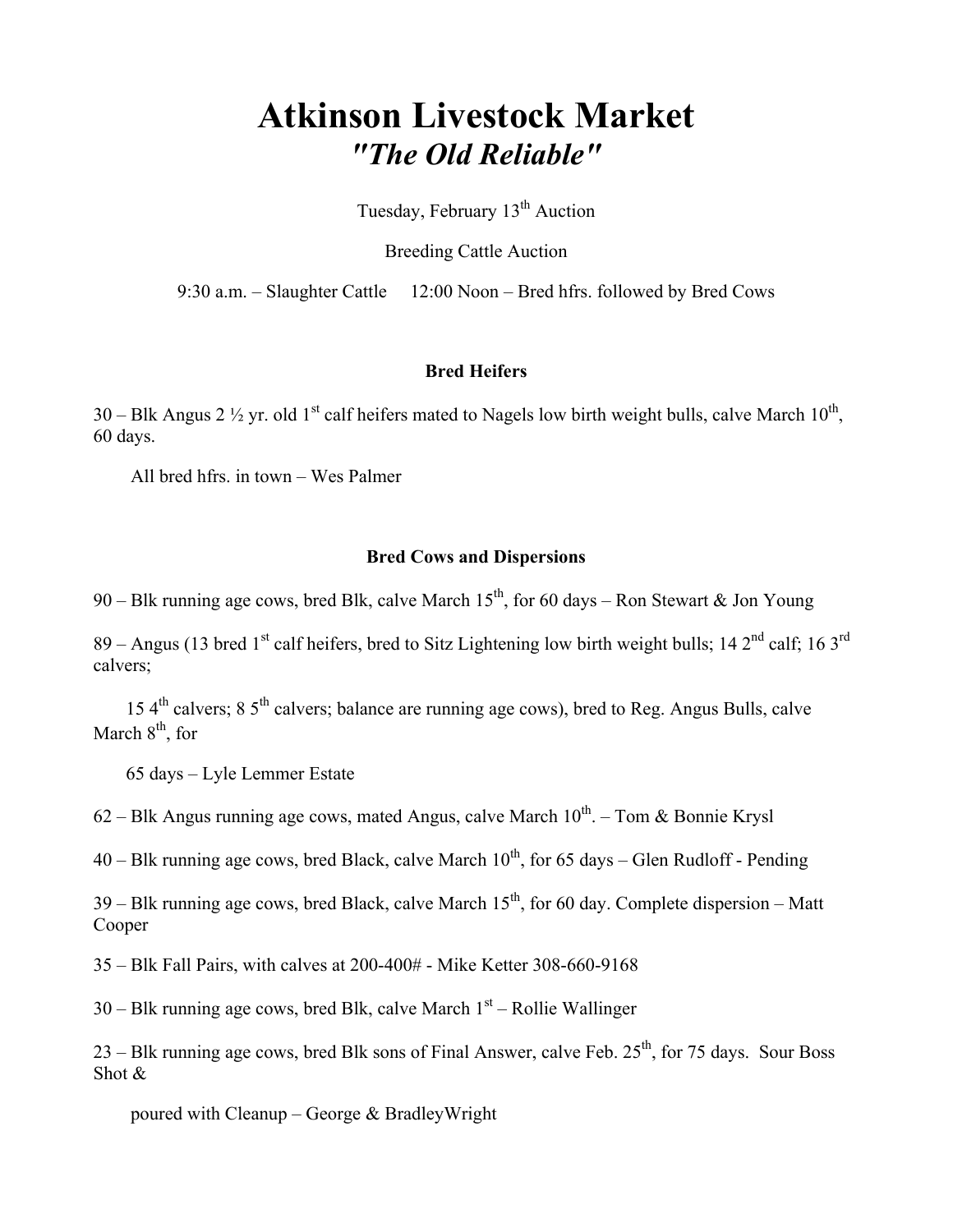# Atkinson Livestock Market "The Old Reliable"

Tuesday, February 13<sup>th</sup> Auction

Breeding Cattle Auction

9:30 a.m. – Slaughter Cattle 12:00 Noon – Bred hfrs. followed by Bred Cows

# Bred Heifers

30 – Blk Angus 2  $\frac{1}{2}$  yr. old 1<sup>st</sup> calf heifers mated to Nagels low birth weight bulls, calve March 10<sup>th</sup>, 60 days.

All bred hfrs. in town – Wes Palmer

## Bred Cows and Dispersions

90 – Blk running age cows, bred Blk, calve March  $15^{th}$ , for 60 days – Ron Stewart & Jon Young

89 – Angus (13 bred 1<sup>st</sup> calf heifers, bred to Sitz Lightening low birth weight bulls; 14  $2^{nd}$  calf; 16  $3^{rd}$ calvers;

15  $4<sup>th</sup>$  calvers; 8  $5<sup>th</sup>$  calvers; balance are running age cows), bred to Reg. Angus Bulls, calve March  $8<sup>th</sup>$ , for

65 days – Lyle Lemmer Estate

62 – Blk Angus running age cows, mated Angus, calve March  $10^{th}$ . – Tom & Bonnie Krysl

 $40 - B$ lk running age cows, bred Black, calve March  $10<sup>th</sup>$ , for 65 days – Glen Rudloff - Pending

 $39 - B$ lk running age cows, bred Black, calve March  $15<sup>th</sup>$ , for 60 day. Complete dispersion – Matt Cooper

35 – Blk Fall Pairs, with calves at 200-400# - Mike Ketter 308-660-9168

 $30 - B$ lk running age cows, bred Blk, calve March  $1<sup>st</sup> -$  Rollie Wallinger

23 – Blk running age cows, bred Blk sons of Final Answer, calve Feb.  $25<sup>th</sup>$ , for 75 days. Sour Boss Shot &

poured with Cleanup – George & BradleyWright